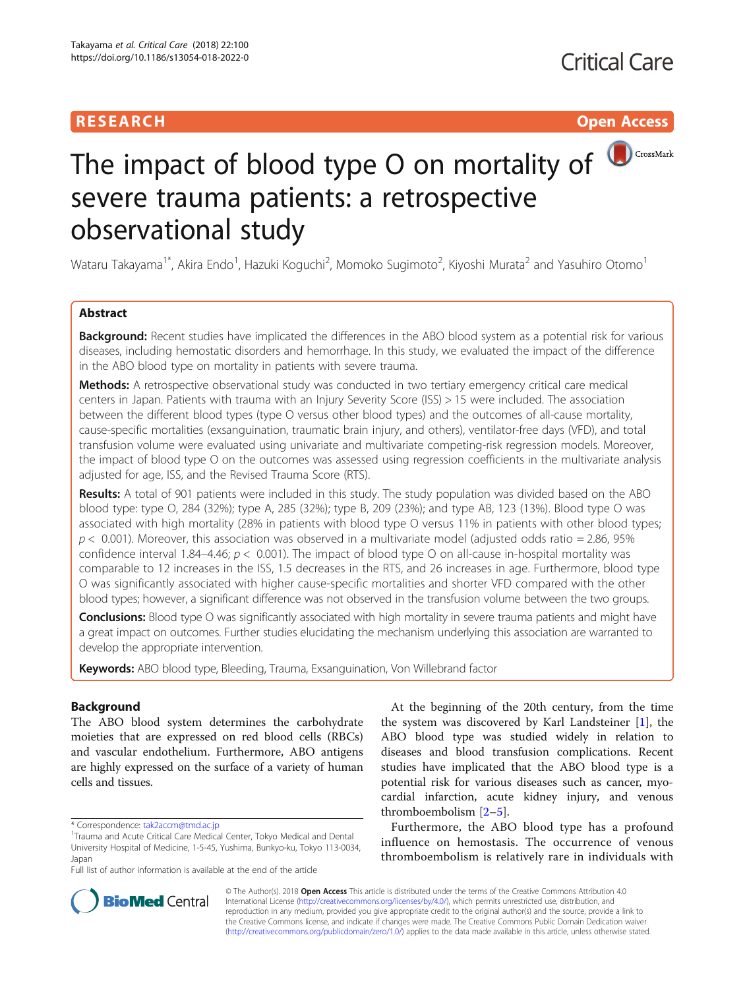# **RESEARCH CHINESE ARCH CHINESE ARCH CHINESE ARCH**



# The impact of blood type O on mortality of  $\bigcirc$  CrossMark severe trauma patients: a retrospective observational study

Wataru Takayama $^{\text{1*}},$  Akira Endo $^{\text{1}},$  Hazuki Koguchi $^{\text{2}}$ , Momoko Sugimoto $^{\text{2}}$ , Kiyoshi Murata $^{\text{2}}$  and Yasuhiro Otomo $^{\text{1}}$ 

# Abstract

Background: Recent studies have implicated the differences in the ABO blood system as a potential risk for various diseases, including hemostatic disorders and hemorrhage. In this study, we evaluated the impact of the difference in the ABO blood type on mortality in patients with severe trauma.

Methods: A retrospective observational study was conducted in two tertiary emergency critical care medical centers in Japan. Patients with trauma with an Injury Severity Score (ISS) > 15 were included. The association between the different blood types (type O versus other blood types) and the outcomes of all-cause mortality, cause-specific mortalities (exsanguination, traumatic brain injury, and others), ventilator-free days (VFD), and total transfusion volume were evaluated using univariate and multivariate competing-risk regression models. Moreover, the impact of blood type O on the outcomes was assessed using regression coefficients in the multivariate analysis adjusted for age, ISS, and the Revised Trauma Score (RTS).

Results: A total of 901 patients were included in this study. The study population was divided based on the ABO blood type: type O, 284 (32%); type A, 285 (32%); type B, 209 (23%); and type AB, 123 (13%). Blood type O was associated with high mortality (28% in patients with blood type O versus 11% in patients with other blood types;  $p < 0.001$ ). Moreover, this association was observed in a multivariate model (adjusted odds ratio = 2.86, 95% confidence interval 1.84–4.46;  $p < 0.001$ ). The impact of blood type O on all-cause in-hospital mortality was comparable to 12 increases in the ISS, 1.5 decreases in the RTS, and 26 increases in age. Furthermore, blood type O was significantly associated with higher cause-specific mortalities and shorter VFD compared with the other blood types; however, a significant difference was not observed in the transfusion volume between the two groups.

**Conclusions:** Blood type O was significantly associated with high mortality in severe trauma patients and might have a great impact on outcomes. Further studies elucidating the mechanism underlying this association are warranted to develop the appropriate intervention.

Keywords: ABO blood type, Bleeding, Trauma, Exsanguination, Von Willebrand factor

# Background

The ABO blood system determines the carbohydrate moieties that are expressed on red blood cells (RBCs) and vascular endothelium. Furthermore, ABO antigens are highly expressed on the surface of a variety of human cells and tissues.

Full list of author information is available at the end of the article

At the beginning of the 20th century, from the time the system was discovered by Karl Landsteiner [\[1](#page-6-0)], the ABO blood type was studied widely in relation to diseases and blood transfusion complications. Recent studies have implicated that the ABO blood type is a potential risk for various diseases such as cancer, myocardial infarction, acute kidney injury, and venous thromboembolism [\[2](#page-6-0)–[5](#page-6-0)].

Furthermore, the ABO blood type has a profound influence on hemostasis. The occurrence of venous thromboembolism is relatively rare in individuals with



© The Author(s). 2018 Open Access This article is distributed under the terms of the Creative Commons Attribution 4.0 International License [\(http://creativecommons.org/licenses/by/4.0/](http://creativecommons.org/licenses/by/4.0/)), which permits unrestricted use, distribution, and reproduction in any medium, provided you give appropriate credit to the original author(s) and the source, provide a link to the Creative Commons license, and indicate if changes were made. The Creative Commons Public Domain Dedication waiver [\(http://creativecommons.org/publicdomain/zero/1.0/](http://creativecommons.org/publicdomain/zero/1.0/)) applies to the data made available in this article, unless otherwise stated.

<sup>\*</sup> Correspondence: [tak2accm@tmd.ac.jp](mailto:tak2accm@tmd.ac.jp) <sup>1</sup>

<sup>&</sup>lt;sup>1</sup>Trauma and Acute Critical Care Medical Center, Tokyo Medical and Dental University Hospital of Medicine, 1-5-45, Yushima, Bunkyo-ku, Tokyo 113-0034, Japan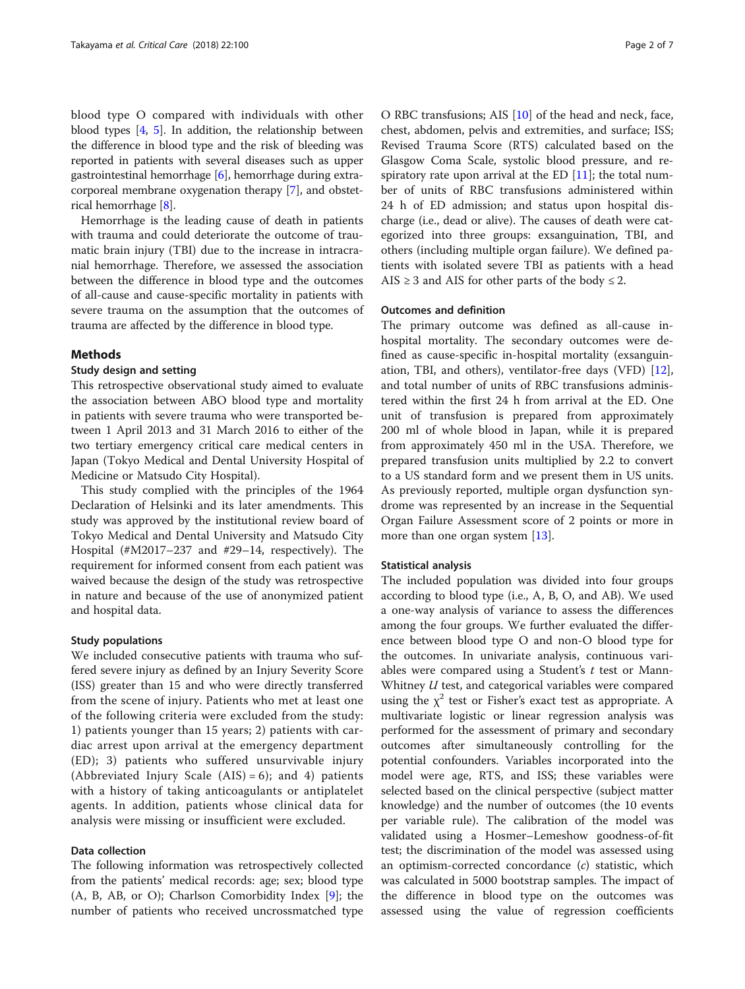blood type O compared with individuals with other blood types  $[4, 5]$  $[4, 5]$  $[4, 5]$  $[4, 5]$ . In addition, the relationship between the difference in blood type and the risk of bleeding was reported in patients with several diseases such as upper gastrointestinal hemorrhage [\[6](#page-6-0)], hemorrhage during extracorporeal membrane oxygenation therapy [[7\]](#page-6-0), and obstetrical hemorrhage [[8](#page-6-0)].

Hemorrhage is the leading cause of death in patients with trauma and could deteriorate the outcome of traumatic brain injury (TBI) due to the increase in intracranial hemorrhage. Therefore, we assessed the association between the difference in blood type and the outcomes of all-cause and cause-specific mortality in patients with severe trauma on the assumption that the outcomes of trauma are affected by the difference in blood type.

# Methods

# Study design and setting

This retrospective observational study aimed to evaluate the association between ABO blood type and mortality in patients with severe trauma who were transported between 1 April 2013 and 31 March 2016 to either of the two tertiary emergency critical care medical centers in Japan (Tokyo Medical and Dental University Hospital of Medicine or Matsudo City Hospital).

This study complied with the principles of the 1964 Declaration of Helsinki and its later amendments. This study was approved by the institutional review board of Tokyo Medical and Dental University and Matsudo City Hospital (#M2017–237 and #29–14, respectively). The requirement for informed consent from each patient was waived because the design of the study was retrospective in nature and because of the use of anonymized patient and hospital data.

# Study populations

We included consecutive patients with trauma who suffered severe injury as defined by an Injury Severity Score (ISS) greater than 15 and who were directly transferred from the scene of injury. Patients who met at least one of the following criteria were excluded from the study: 1) patients younger than 15 years; 2) patients with cardiac arrest upon arrival at the emergency department (ED); 3) patients who suffered unsurvivable injury (Abbreviated Injury Scale  $(AIS) = 6$ ); and 4) patients with a history of taking anticoagulants or antiplatelet agents. In addition, patients whose clinical data for analysis were missing or insufficient were excluded.

# Data collection

The following information was retrospectively collected from the patients' medical records: age; sex; blood type (A, B, AB, or O); Charlson Comorbidity Index [\[9](#page-6-0)]; the number of patients who received uncrossmatched type

O RBC transfusions; AIS [[10\]](#page-6-0) of the head and neck, face, chest, abdomen, pelvis and extremities, and surface; ISS; Revised Trauma Score (RTS) calculated based on the Glasgow Coma Scale, systolic blood pressure, and respiratory rate upon arrival at the ED  $[11]$  $[11]$  $[11]$ ; the total number of units of RBC transfusions administered within 24 h of ED admission; and status upon hospital discharge (i.e., dead or alive). The causes of death were categorized into three groups: exsanguination, TBI, and others (including multiple organ failure). We defined patients with isolated severe TBI as patients with a head AIS  $\geq$  3 and AIS for other parts of the body  $\leq$  2.

# Outcomes and definition

The primary outcome was defined as all-cause inhospital mortality. The secondary outcomes were defined as cause-specific in-hospital mortality (exsanguination, TBI, and others), ventilator-free days (VFD) [\[12](#page-6-0)], and total number of units of RBC transfusions administered within the first 24 h from arrival at the ED. One unit of transfusion is prepared from approximately 200 ml of whole blood in Japan, while it is prepared from approximately 450 ml in the USA. Therefore, we prepared transfusion units multiplied by 2.2 to convert to a US standard form and we present them in US units. As previously reported, multiple organ dysfunction syndrome was represented by an increase in the Sequential Organ Failure Assessment score of 2 points or more in more than one organ system [\[13](#page-6-0)].

# Statistical analysis

The included population was divided into four groups according to blood type (i.e., A, B, O, and AB). We used a one-way analysis of variance to assess the differences among the four groups. We further evaluated the difference between blood type O and non-O blood type for the outcomes. In univariate analysis, continuous variables were compared using a Student's  $t$  test or Mann-Whitney *U* test, and categorical variables were compared using the  $\chi^2$  test or Fisher's exact test as appropriate. A multivariate logistic or linear regression analysis was performed for the assessment of primary and secondary outcomes after simultaneously controlling for the potential confounders. Variables incorporated into the model were age, RTS, and ISS; these variables were selected based on the clinical perspective (subject matter knowledge) and the number of outcomes (the 10 events per variable rule). The calibration of the model was validated using a Hosmer–Lemeshow goodness-of-fit test; the discrimination of the model was assessed using an optimism-corrected concordance  $(c)$  statistic, which was calculated in 5000 bootstrap samples. The impact of the difference in blood type on the outcomes was assessed using the value of regression coefficients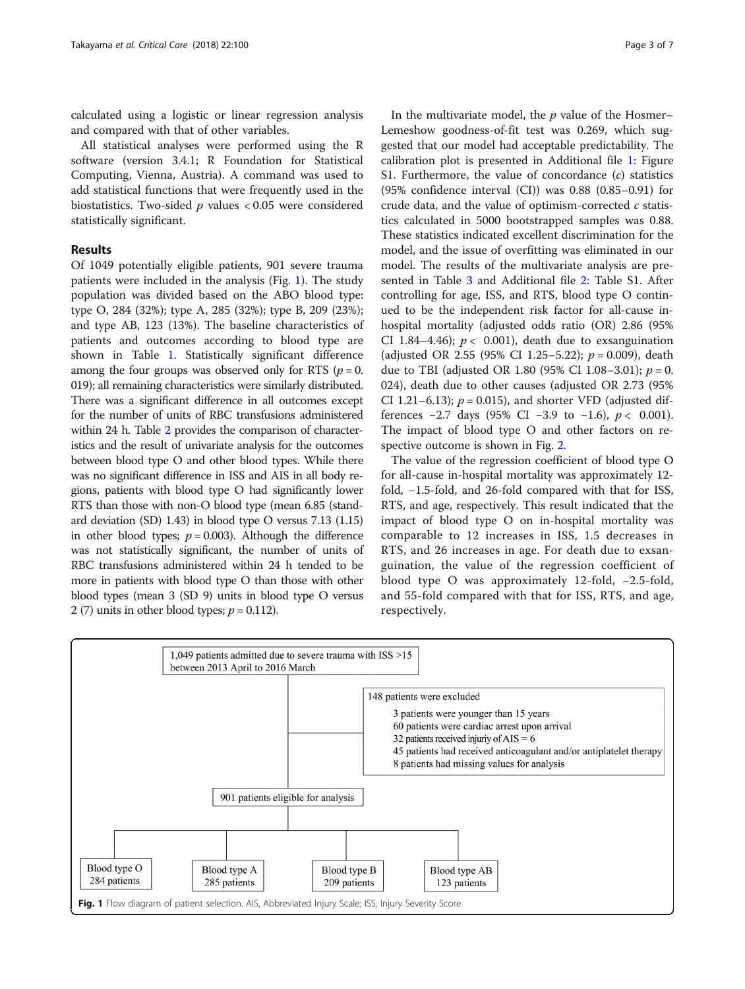calculated using a logistic or linear regression analysis and compared with that of other variables.

All statistical analyses were performed using the R software (version 3.4.1; R Foundation for Statistical Computing, Vienna, Austria). A command was used to add statistical functions that were frequently used in the biostatistics. Two-sided  $p$  values < 0.05 were considered statistically significant.

# Results

Of 1049 potentially eligible patients, 901 severe trauma patients were included in the analysis (Fig. 1). The study population was divided based on the ABO blood type: type O, 284 (32%); type A, 285 (32%); type B, 209 (23%); and type AB, 123 (13%). The baseline characteristics of patients and outcomes according to blood type are shown in Table [1](#page-3-0). Statistically significant difference among the four groups was observed only for RTS ( $p = 0$ . 019); all remaining characteristics were similarly distributed. There was a significant difference in all outcomes except for the number of units of RBC transfusions administered within 24 h. Table [2](#page-4-0) provides the comparison of characteristics and the result of univariate analysis for the outcomes between blood type O and other blood types. While there was no significant difference in ISS and AIS in all body regions, patients with blood type O had significantly lower RTS than those with non-O blood type (mean 6.85 (standard deviation (SD) 1.43) in blood type O versus 7.13 (1.15) in other blood types;  $p = 0.003$ ). Although the difference was not statistically significant, the number of units of RBC transfusions administered within 24 h tended to be more in patients with blood type O than those with other blood types (mean 3 (SD 9) units in blood type O versus 2 (7) units in other blood types;  $p = 0.112$ ).

In the multivariate model, the  $p$  value of the Hosmer– Lemeshow goodness-of-fit test was 0.269, which suggested that our model had acceptable predictability. The calibration plot is presented in Additional file [1:](#page-6-0) Figure S1. Furthermore, the value of concordance  $(c)$  statistics (95% confidence interval (CI)) was 0.88 (0.85–0.91) for crude data, and the value of optimism-corrected  $c$  statistics calculated in 5000 bootstrapped samples was 0.88. These statistics indicated excellent discrimination for the model, and the issue of overfitting was eliminated in our model. The results of the multivariate analysis are presented in Table [3](#page-4-0) and Additional file [2](#page-6-0): Table S1. After controlling for age, ISS, and RTS, blood type O continued to be the independent risk factor for all-cause inhospital mortality (adjusted odds ratio (OR) 2.86 (95% CI 1.84-4.46);  $p < 0.001$ ), death due to exsanguination (adjusted OR 2.55 (95% CI 1.25–5.22);  $p = 0.009$ ), death due to TBI (adjusted OR 1.80 (95% CI 1.08–3.01);  $p = 0$ . 024), death due to other causes (adjusted OR 2.73 (95% CI 1.21–6.13);  $p = 0.015$ , and shorter VFD (adjusted differences  $-2.7$  days (95% CI  $-3.9$  to  $-1.6$ ),  $p < 0.001$ ). The impact of blood type O and other factors on respective outcome is shown in Fig. [2.](#page-5-0)

The value of the regression coefficient of blood type O for all-cause in-hospital mortality was approximately 12 fold, −1.5-fold, and 26-fold compared with that for ISS, RTS, and age, respectively. This result indicated that the impact of blood type O on in-hospital mortality was comparable to 12 increases in ISS, 1.5 decreases in RTS, and 26 increases in age. For death due to exsanguination, the value of the regression coefficient of blood type O was approximately 12-fold, −2.5-fold, and 55-fold compared with that for ISS, RTS, and age, respectively.

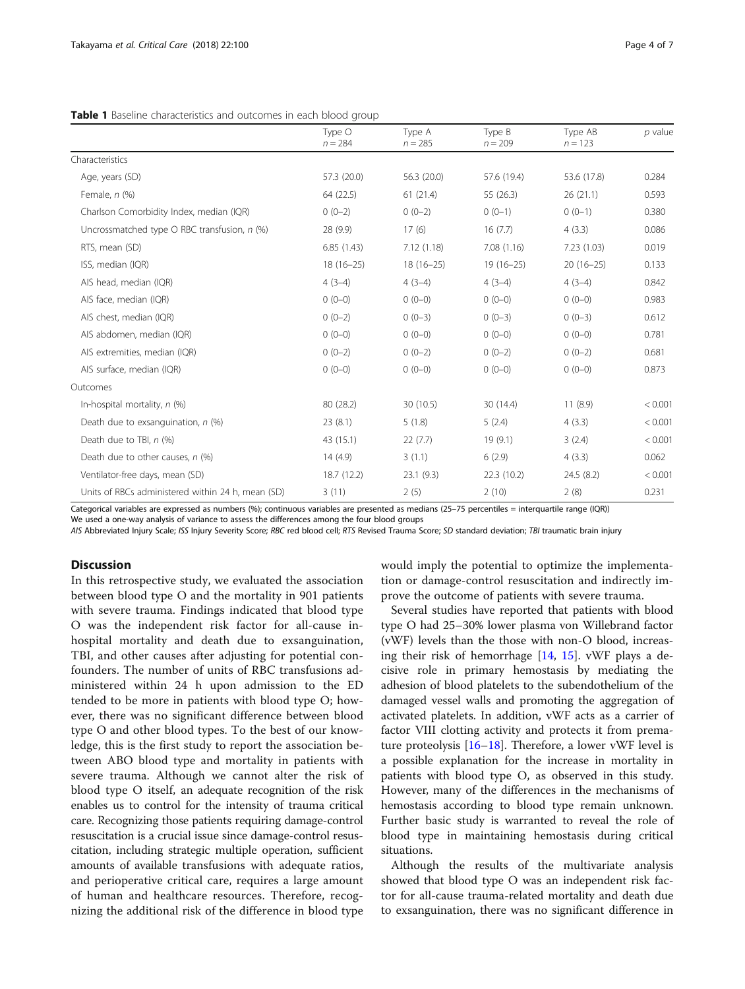<span id="page-3-0"></span>

|                                                   | Type O<br>$n = 284$ | Type A<br>$n = 285$ | Type B<br>$n = 209$ | Type AB<br>$n = 123$ | $p$ value |
|---------------------------------------------------|---------------------|---------------------|---------------------|----------------------|-----------|
| Characteristics                                   |                     |                     |                     |                      |           |
| Age, years (SD)                                   | 57.3 (20.0)         | 56.3 (20.0)         | 57.6 (19.4)         | 53.6 (17.8)          | 0.284     |
| Female, $n$ (%)                                   | 64 (22.5)           | 61(21.4)            | 55 (26.3)           | 26(21.1)             | 0.593     |
| Charlson Comorbidity Index, median (IQR)          | $0(0-2)$            | $0(0-2)$            | $0(0-1)$            | $0(0-1)$             | 0.380     |
| Uncrossmatched type O RBC transfusion, n (%)      | 28 (9.9)            | 17(6)               | 16(7.7)             | 4(3.3)               | 0.086     |
| RTS, mean (SD)                                    | 6.85(1.43)          | 7.12(1.18)          | 7.08(1.16)          | 7.23(1.03)           | 0.019     |
| ISS, median (IQR)                                 | $18(16-25)$         | $18(16-25)$         | $19(16-25)$         | $20(16-25)$          | 0.133     |
| AIS head, median (IQR)                            | $4(3-4)$            | $4(3-4)$            | $4(3-4)$            | $4(3-4)$             | 0.842     |
| AIS face, median (IQR)                            | $0(0-0)$            | $0(0-0)$            | $0(0-0)$            | $0(0-0)$             | 0.983     |
| AIS chest, median (IQR)                           | $0(0-2)$            | $0(0-3)$            | $0(0-3)$            | $0(0-3)$             | 0.612     |
| AIS abdomen, median (IQR)                         | $0(0-0)$            | $0(0-0)$            | $0(0-0)$            | $0(0-0)$             | 0.781     |
| AIS extremities, median (IQR)                     | $0(0-2)$            | $0(0-2)$            | $0(0-2)$            | $0(0-2)$             | 0.681     |
| AIS surface, median (IQR)                         | $0(0-0)$            | $0(0-0)$            | $0(0-0)$            | $0(0-0)$             | 0.873     |
| Outcomes                                          |                     |                     |                     |                      |           |
| In-hospital mortality, $n$ (%)                    | 80 (28.2)           | 30 (10.5)           | 30 (14.4)           | 11(8.9)              | < 0.001   |
| Death due to exsanguination, $n$ (%)              | 23(8.1)             | 5(1.8)              | 5(2.4)              | 4(3.3)               | < 0.001   |
| Death due to TBI, n (%)                           | 43 (15.1)           | 22(7.7)             | 19(9.1)             | 3(2.4)               | < 0.001   |
| Death due to other causes, $n$ (%)                | 14(4.9)             | 3(1.1)              | 6(2.9)              | 4(3.3)               | 0.062     |
| Ventilator-free days, mean (SD)                   | 18.7 (12.2)         | 23.1 (9.3)          | 22.3 (10.2)         | 24.5 (8.2)           | < 0.001   |
| Units of RBCs administered within 24 h, mean (SD) | 3(11)               | 2(5)                | 2(10)               | 2(8)                 | 0.231     |

Categorical variables are expressed as numbers (%); continuous variables are presented as medians (25–75 percentiles = interquartile range (IQR))

We used a one-way analysis of variance to assess the differences among the four blood groups

AIS Abbreviated Injury Scale; ISS Injury Severity Score; RBC red blood cell; RTS Revised Trauma Score; SD standard deviation; TBI traumatic brain injury

# Discussion

In this retrospective study, we evaluated the association between blood type O and the mortality in 901 patients with severe trauma. Findings indicated that blood type O was the independent risk factor for all-cause inhospital mortality and death due to exsanguination, TBI, and other causes after adjusting for potential confounders. The number of units of RBC transfusions administered within 24 h upon admission to the ED tended to be more in patients with blood type O; however, there was no significant difference between blood type O and other blood types. To the best of our knowledge, this is the first study to report the association between ABO blood type and mortality in patients with severe trauma. Although we cannot alter the risk of blood type O itself, an adequate recognition of the risk enables us to control for the intensity of trauma critical care. Recognizing those patients requiring damage-control resuscitation is a crucial issue since damage-control resuscitation, including strategic multiple operation, sufficient amounts of available transfusions with adequate ratios, and perioperative critical care, requires a large amount of human and healthcare resources. Therefore, recognizing the additional risk of the difference in blood type would imply the potential to optimize the implementation or damage-control resuscitation and indirectly improve the outcome of patients with severe trauma.

Several studies have reported that patients with blood type O had 25–30% lower plasma von Willebrand factor (vWF) levels than the those with non-O blood, increasing their risk of hemorrhage [[14,](#page-6-0) [15\]](#page-6-0). vWF plays a decisive role in primary hemostasis by mediating the adhesion of blood platelets to the subendothelium of the damaged vessel walls and promoting the aggregation of activated platelets. In addition, vWF acts as a carrier of factor VIII clotting activity and protects it from premature proteolysis [[16](#page-6-0)–[18](#page-6-0)]. Therefore, a lower vWF level is a possible explanation for the increase in mortality in patients with blood type O, as observed in this study. However, many of the differences in the mechanisms of hemostasis according to blood type remain unknown. Further basic study is warranted to reveal the role of blood type in maintaining hemostasis during critical situations.

Although the results of the multivariate analysis showed that blood type O was an independent risk factor for all-cause trauma-related mortality and death due to exsanguination, there was no significant difference in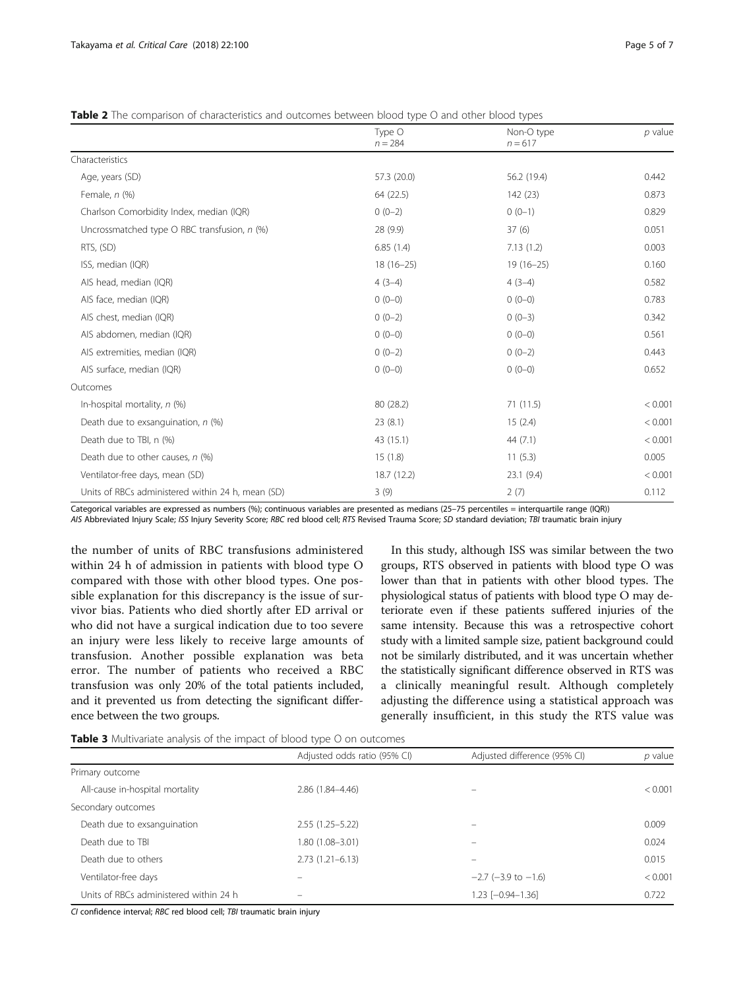<span id="page-4-0"></span>Table 2 The comparison of characteristics and outcomes between blood type O and other blood types

|                                                   | Type O<br>$n = 284$ | Non-O type<br>$n = 617$ | $p$ value |
|---------------------------------------------------|---------------------|-------------------------|-----------|
| Characteristics                                   |                     |                         |           |
| Age, years (SD)                                   | 57.3 (20.0)         | 56.2 (19.4)             | 0.442     |
| Female, $n$ (%)                                   | 64 (22.5)           | 142 (23)                | 0.873     |
| Charlson Comorbidity Index, median (IQR)          | $0(0-2)$            | $0(0-1)$                | 0.829     |
| Uncrossmatched type O RBC transfusion, n (%)      | 28 (9.9)            | 37(6)                   | 0.051     |
| RTS, (SD)                                         | 6.85(1.4)           | 7.13(1.2)               | 0.003     |
| ISS, median (IQR)                                 | $18(16-25)$         | $19(16 - 25)$           | 0.160     |
| AIS head, median (IQR)                            | $4(3-4)$            | $4(3-4)$                | 0.582     |
| AIS face, median (IQR)                            | $0(0-0)$            | $0(0-0)$                | 0.783     |
| AIS chest, median (IQR)                           | $0(0-2)$            | $0(0-3)$                | 0.342     |
| AIS abdomen, median (IQR)                         | $0(0-0)$            | $0(0-0)$                | 0.561     |
| AIS extremities, median (IQR)                     | $0(0-2)$            | $0(0-2)$                | 0.443     |
| AIS surface, median (IQR)                         | $0(0-0)$            | $0(0-0)$                | 0.652     |
| Outcomes                                          |                     |                         |           |
| In-hospital mortality, $n$ (%)                    | 80 (28.2)           | 71(11.5)                | < 0.001   |
| Death due to exsanguination, $n$ (%)              | 23(8.1)             | 15(2.4)                 | < 0.001   |
| Death due to TBI, n (%)                           | 43 (15.1)           | 44 $(7.1)$              | < 0.001   |
| Death due to other causes, $n$ (%)                | 15(1.8)             | 11(5.3)                 | 0.005     |
| Ventilator-free days, mean (SD)                   | 18.7 (12.2)         | 23.1(9.4)               | < 0.001   |
| Units of RBCs administered within 24 h, mean (SD) | 3(9)                | 2(7)                    | 0.112     |

Categorical variables are expressed as numbers (%); continuous variables are presented as medians (25–75 percentiles = interquartile range (IQR))

AIS Abbreviated Injury Scale; ISS Injury Severity Score; RBC red blood cell; RTS Revised Trauma Score; SD standard deviation; TBI traumatic brain injury

the number of units of RBC transfusions administered within 24 h of admission in patients with blood type O compared with those with other blood types. One possible explanation for this discrepancy is the issue of survivor bias. Patients who died shortly after ED arrival or who did not have a surgical indication due to too severe an injury were less likely to receive large amounts of transfusion. Another possible explanation was beta error. The number of patients who received a RBC transfusion was only 20% of the total patients included, and it prevented us from detecting the significant difference between the two groups.

In this study, although ISS was similar between the two groups, RTS observed in patients with blood type O was lower than that in patients with other blood types. The physiological status of patients with blood type O may deteriorate even if these patients suffered injuries of the same intensity. Because this was a retrospective cohort study with a limited sample size, patient background could not be similarly distributed, and it was uncertain whether the statistically significant difference observed in RTS was a clinically meaningful result. Although completely adjusting the difference using a statistical approach was generally insufficient, in this study the RTS value was

|  |  |  | Table 3 Multivariate analysis of the impact of blood type O on outcomes |
|--|--|--|-------------------------------------------------------------------------|
|--|--|--|-------------------------------------------------------------------------|

|                                        | Adjusted odds ratio (95% CI) | Adjusted difference (95% CI) | $p$ value |
|----------------------------------------|------------------------------|------------------------------|-----------|
| Primary outcome                        |                              |                              |           |
| All-cause in-hospital mortality        | $2.86(1.84 - 4.46)$          |                              | < 0.001   |
| Secondary outcomes                     |                              |                              |           |
| Death due to exsanguination            | $2.55(1.25 - 5.22)$          |                              | 0.009     |
| Death due to TBI                       | 1.80 (1.08-3.01)             |                              | 0.024     |
| Death due to others                    | $2.73(1.21 - 6.13)$          |                              | 0.015     |
| Ventilator-free days                   |                              | $-2.7$ ( $-3.9$ to $-1.6$ )  | < 0.001   |
| Units of RBCs administered within 24 h | $\overline{\phantom{0}}$     | $1.23$ $[-0.94 - 1.36]$      | 0.722     |

CI confidence interval; RBC red blood cell; TBI traumatic brain injury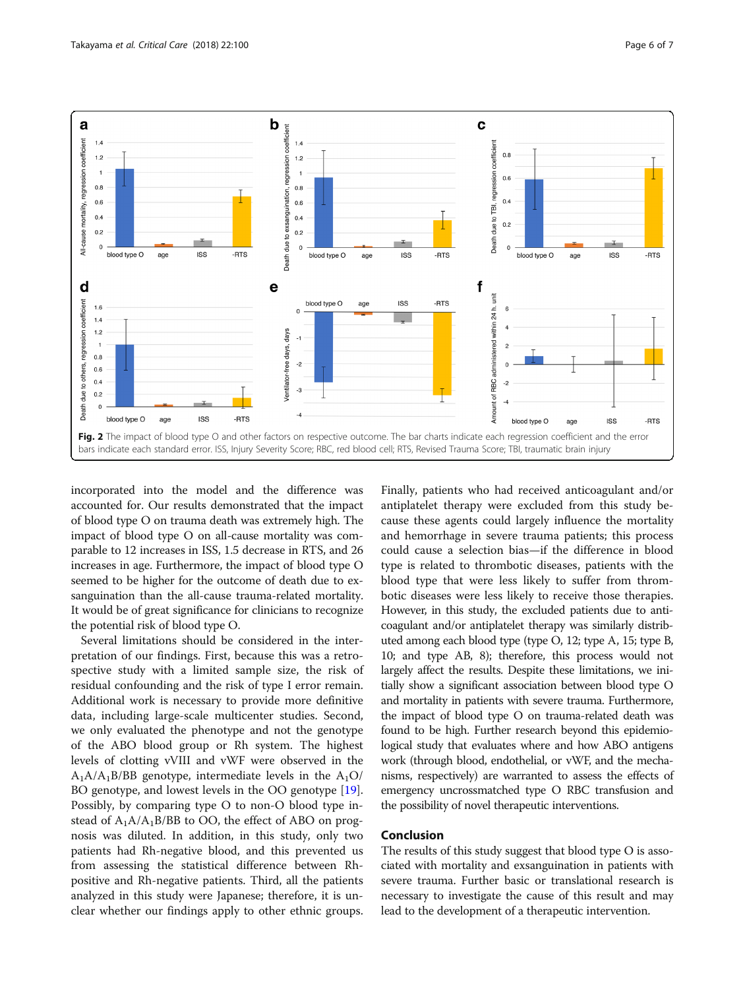<span id="page-5-0"></span>

incorporated into the model and the difference was accounted for. Our results demonstrated that the impact of blood type O on trauma death was extremely high. The impact of blood type O on all-cause mortality was comparable to 12 increases in ISS, 1.5 decrease in RTS, and 26 increases in age. Furthermore, the impact of blood type O seemed to be higher for the outcome of death due to exsanguination than the all-cause trauma-related mortality. It would be of great significance for clinicians to recognize the potential risk of blood type O.

Several limitations should be considered in the interpretation of our findings. First, because this was a retrospective study with a limited sample size, the risk of residual confounding and the risk of type I error remain. Additional work is necessary to provide more definitive data, including large-scale multicenter studies. Second, we only evaluated the phenotype and not the genotype of the ABO blood group or Rh system. The highest levels of clotting vVIII and vWF were observed in the  $A_1A/A_1B/BB$  genotype, intermediate levels in the  $A_1O/A_1B/BB$ BO genotype, and lowest levels in the OO genotype [\[19](#page-6-0)]. Possibly, by comparing type O to non-O blood type instead of  $A_1A/A_1B/BB$  to OO, the effect of ABO on prognosis was diluted. In addition, in this study, only two patients had Rh-negative blood, and this prevented us from assessing the statistical difference between Rhpositive and Rh-negative patients. Third, all the patients analyzed in this study were Japanese; therefore, it is unclear whether our findings apply to other ethnic groups.

Finally, patients who had received anticoagulant and/or antiplatelet therapy were excluded from this study because these agents could largely influence the mortality and hemorrhage in severe trauma patients; this process could cause a selection bias—if the difference in blood type is related to thrombotic diseases, patients with the blood type that were less likely to suffer from thrombotic diseases were less likely to receive those therapies. However, in this study, the excluded patients due to anticoagulant and/or antiplatelet therapy was similarly distributed among each blood type (type O, 12; type A, 15; type B, 10; and type AB, 8); therefore, this process would not largely affect the results. Despite these limitations, we initially show a significant association between blood type O and mortality in patients with severe trauma. Furthermore, the impact of blood type O on trauma-related death was found to be high. Further research beyond this epidemiological study that evaluates where and how ABO antigens work (through blood, endothelial, or vWF, and the mechanisms, respectively) are warranted to assess the effects of emergency uncrossmatched type O RBC transfusion and the possibility of novel therapeutic interventions.

# Conclusion

The results of this study suggest that blood type O is associated with mortality and exsanguination in patients with severe trauma. Further basic or translational research is necessary to investigate the cause of this result and may lead to the development of a therapeutic intervention.